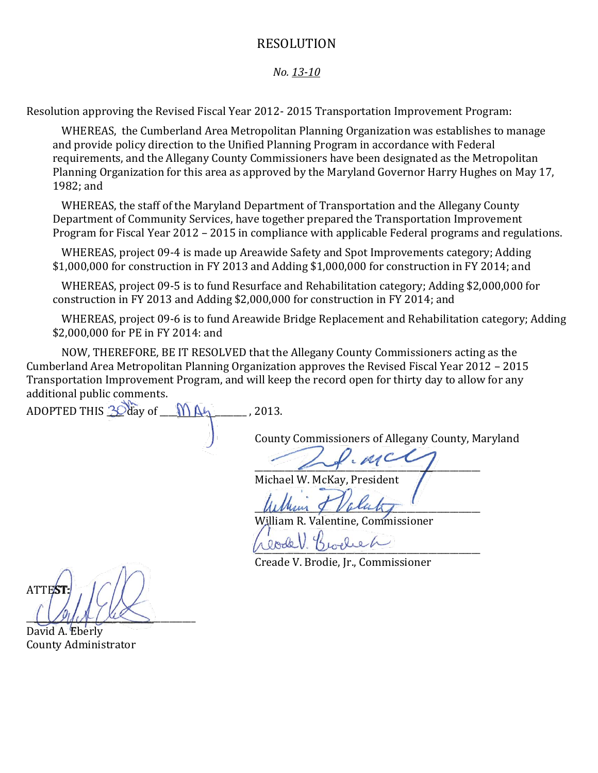#### RESOLUTION

#### *No. 13-10*

Resolution approving the Revised Fiscal Year 2012- 2015 Transportation Improvement Program:

WHEREAS, the Cumberland Area Metropolitan Planning Organization was establishes to manage and provide policy direction to the Unified Planning Program in accordance with Federal requirements, and the Allegany County Commissioners have been designated as the Metropolitan Planning Organization for this area as approved by the Maryland Governor Harry Hughes on May 17, 1982; and

WHEREAS, the staff of the Maryland Department of Transportation and the Allegany County Department of Community Services, have together prepared the Transportation Improvement Program for Fiscal Year 2012 – 2015 in compliance with applicable Federal programs and regulations.

WHEREAS, project 09-4 is made up Areawide Safety and Spot Improvements category; Adding \$1,000,000 for construction in FY 2013 and Adding \$1,000,000 for construction in FY 2014; and

WHEREAS, project 09-5 is to fund Resurface and Rehabilitation category; Adding \$2,000,000 for construction in FY 2013 and Adding \$2,000,000 for construction in FY 2014; and

WHEREAS, project 09-6 is to fund Areawide Bridge Replacement and Rehabilitation category; Adding \$2,000,000 for PE in FY 2014: and

NOW, THEREFORE, BE IT RESOLVED that the Allegany County Commissioners acting as the Cumberland Area Metropolitan Planning Organization approves the Revised Fiscal Year 2012 – 2015 Transportation Improvement Program, and will keep the record open for thirty day to allow for any additional public comments.

ADOPTED THIS  $\frac{3}{2}$  day of  $\bigwedge A_1$ , 2013.

County Commissioners of Allegany County, Maryland

 $\overline{\mathscr{L}}$ 

Michael W. McKay, President

 $Muhunq$  Volutity

William R. Valentine, Commissioner

\_\_\_\_\_\_\_\_\_\_\_\_\_\_\_\_\_\_\_\_\_\_\_\_\_\_\_\_\_\_\_\_\_\_\_\_\_\_\_\_\_\_\_\_\_\_\_\_\_\_\_\_

Creade V. Brodie, Jr., Commissioner

**ATTES**  $\frac{1}{2}$ 

David A. Eberly County Administrator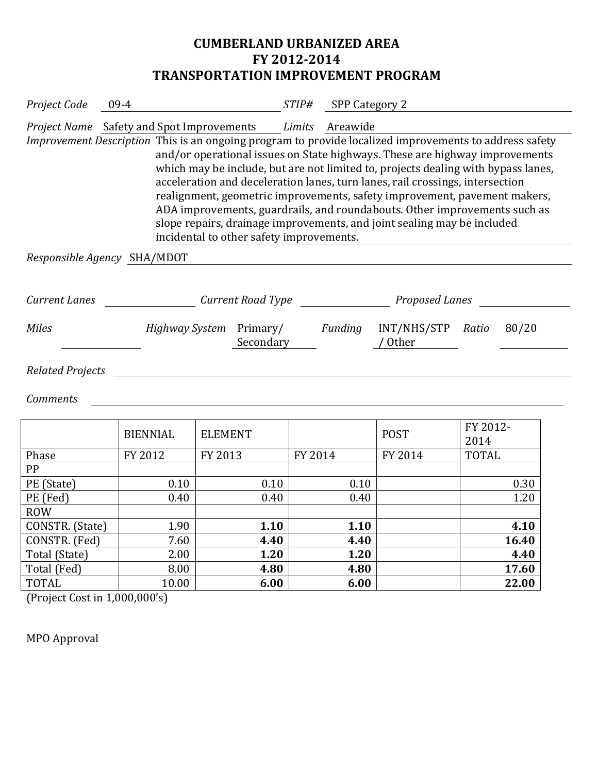## **CUMBERLAND URBANIZED AREA FY 2012-2014 TRANSPORTATION IMPROVEMENT PROGRAM**

| Project Code                  | 09-4            | $STIP\#$<br>SPP Category 2                                                                                                                                                                           |         |                              |                                                                                                                                                                                                                                                                                                                                                                                                                                      |  |  |
|-------------------------------|-----------------|------------------------------------------------------------------------------------------------------------------------------------------------------------------------------------------------------|---------|------------------------------|--------------------------------------------------------------------------------------------------------------------------------------------------------------------------------------------------------------------------------------------------------------------------------------------------------------------------------------------------------------------------------------------------------------------------------------|--|--|
|                               |                 | Project Name Safety and Spot Improvements Limits Areawide                                                                                                                                            |         |                              |                                                                                                                                                                                                                                                                                                                                                                                                                                      |  |  |
|                               |                 | acceleration and deceleration lanes, turn lanes, rail crossings, intersection<br>slope repairs, drainage improvements, and joint sealing may be included<br>incidental to other safety improvements. |         |                              | Improvement Description This is an ongoing program to provide localized improvements to address safety<br>and/or operational issues on State highways. These are highway improvements<br>which may be include, but are not limited to, projects dealing with bypass lanes,<br>realignment, geometric improvements, safety improvement, pavement makers,<br>ADA improvements, guardrails, and roundabouts. Other improvements such as |  |  |
| Responsible Agency SHA/MDOT   |                 |                                                                                                                                                                                                      |         |                              |                                                                                                                                                                                                                                                                                                                                                                                                                                      |  |  |
|                               |                 |                                                                                                                                                                                                      |         |                              |                                                                                                                                                                                                                                                                                                                                                                                                                                      |  |  |
| <b>Current Lanes</b>          |                 | Current Road Type                                                                                                                                                                                    |         | <b>Proposed Lanes</b>        |                                                                                                                                                                                                                                                                                                                                                                                                                                      |  |  |
| <b>Miles</b>                  |                 | <i>Highway System</i> Primary/<br>Secondary                                                                                                                                                          | Funding | INT/NHS/STP Ratio<br>/ Other | 80/20                                                                                                                                                                                                                                                                                                                                                                                                                                |  |  |
| <b>Related Projects</b>       |                 |                                                                                                                                                                                                      |         |                              |                                                                                                                                                                                                                                                                                                                                                                                                                                      |  |  |
| <b>Comments</b>               |                 |                                                                                                                                                                                                      |         |                              |                                                                                                                                                                                                                                                                                                                                                                                                                                      |  |  |
|                               | <b>BIENNIAL</b> | <b>ELEMENT</b>                                                                                                                                                                                       |         | <b>POST</b>                  | FY 2012-<br>2014                                                                                                                                                                                                                                                                                                                                                                                                                     |  |  |
| Phase                         | FY 2012         | FY 2013                                                                                                                                                                                              | FY 2014 | FY 2014                      | <b>TOTAL</b>                                                                                                                                                                                                                                                                                                                                                                                                                         |  |  |
| PP                            |                 |                                                                                                                                                                                                      |         |                              |                                                                                                                                                                                                                                                                                                                                                                                                                                      |  |  |
| PE (State)                    | 0.10            | 0.10                                                                                                                                                                                                 | 0.10    |                              | 0.30                                                                                                                                                                                                                                                                                                                                                                                                                                 |  |  |
| PE (Fed)                      | 0.40            | 0.40                                                                                                                                                                                                 | 0.40    |                              | 1.20                                                                                                                                                                                                                                                                                                                                                                                                                                 |  |  |
| <b>ROW</b><br>CONSTR. (State) | 1.90            | 1.10                                                                                                                                                                                                 | 1.10    |                              | 4.10                                                                                                                                                                                                                                                                                                                                                                                                                                 |  |  |
| CONSTR. (Fed)                 | 7.60            | 4.40                                                                                                                                                                                                 | 4.40    |                              | 16.40                                                                                                                                                                                                                                                                                                                                                                                                                                |  |  |
| Total (State)                 | 2.00            | 1.20                                                                                                                                                                                                 | 1.20    |                              | 4.40                                                                                                                                                                                                                                                                                                                                                                                                                                 |  |  |
| Total (Fed)                   | 8.00            | 4.80                                                                                                                                                                                                 | 4.80    |                              | 17.60                                                                                                                                                                                                                                                                                                                                                                                                                                |  |  |
| <b>TOTAL</b>                  | 10.00           | 6.00                                                                                                                                                                                                 | 6.00    |                              | 22.00                                                                                                                                                                                                                                                                                                                                                                                                                                |  |  |

(Project Cost in 1,000,000's)

MPO Approval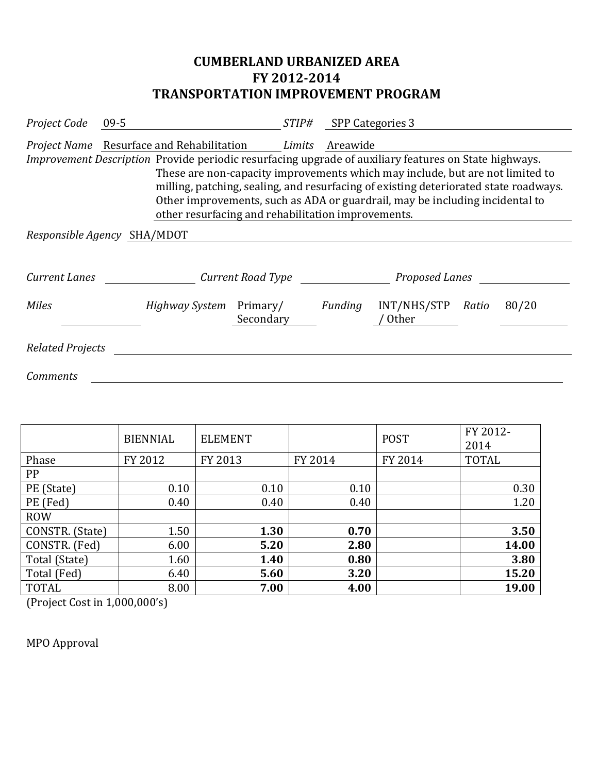# **CUMBERLAND URBANIZED AREA FY 2012-2014 TRANSPORTATION IMPROVEMENT PROGRAM**

| Project Code                                                                                                                                                                                                                                                                                                                                                                                                         | $09 - 5$                                                       | <i>STIP#</i> |          | SPP Categories 3            |       |       |  |
|----------------------------------------------------------------------------------------------------------------------------------------------------------------------------------------------------------------------------------------------------------------------------------------------------------------------------------------------------------------------------------------------------------------------|----------------------------------------------------------------|--------------|----------|-----------------------------|-------|-------|--|
|                                                                                                                                                                                                                                                                                                                                                                                                                      | <i>Project Name</i> Resurface and Rehabilitation <i>Limits</i> |              | Areawide |                             |       |       |  |
| Improvement Description Provide periodic resurfacing upgrade of auxiliary features on State highways.<br>These are non-capacity improvements which may include, but are not limited to<br>milling, patching, sealing, and resurfacing of existing deteriorated state roadways.<br>Other improvements, such as ADA or guardrail, may be including incidental to<br>other resurfacing and rehabilitation improvements. |                                                                |              |          |                             |       |       |  |
|                                                                                                                                                                                                                                                                                                                                                                                                                      | Responsible Agency SHA/MDOT                                    |              |          |                             |       |       |  |
| Current Lanes                                                                                                                                                                                                                                                                                                                                                                                                        | Current Road Type                                              |              |          | Proposed Lanes              |       |       |  |
| <b>Miles</b>                                                                                                                                                                                                                                                                                                                                                                                                         | Highway System Primary/<br>Secondary                           |              | Funding  | INT/NHS/STP<br><b>Other</b> | Ratio | 80/20 |  |
| <b>Related Projects</b>                                                                                                                                                                                                                                                                                                                                                                                              |                                                                |              |          |                             |       |       |  |
| <b>Comments</b>                                                                                                                                                                                                                                                                                                                                                                                                      |                                                                |              |          |                             |       |       |  |

|                 | <b>BIENNIAL</b> | <b>ELEMENT</b> |         | <b>POST</b> | FY 2012-<br>2014 |
|-----------------|-----------------|----------------|---------|-------------|------------------|
| Phase           | FY 2012         | FY 2013        | FY 2014 | FY 2014     | <b>TOTAL</b>     |
| PP              |                 |                |         |             |                  |
| PE (State)      | 0.10            | 0.10           | 0.10    |             | 0.30             |
| PE (Fed)        | 0.40            | 0.40           | 0.40    |             | 1.20             |
| <b>ROW</b>      |                 |                |         |             |                  |
| CONSTR. (State) | 1.50            | 1.30           | 0.70    |             | 3.50             |
| CONSTR. (Fed)   | 6.00            | 5.20           | 2.80    |             | 14.00            |
| Total (State)   | 1.60            | 1.40           | 0.80    |             | 3.80             |
| Total (Fed)     | 6.40            | 5.60           | 3.20    |             | 15.20            |
| <b>TOTAL</b>    | 8.00            | 7.00           | 4.00    |             | 19.00            |

(Project Cost in 1,000,000's)

MPO Approval